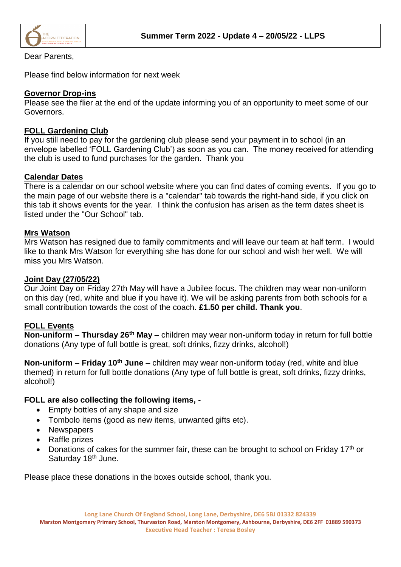

## Dear Parents,

Please find below information for next week

## **Governor Drop-ins**

Please see the flier at the end of the update informing you of an opportunity to meet some of our Governors.

# **FOLL Gardening Club**

If you still need to pay for the gardening club please send your payment in to school (in an envelope labelled 'FOLL Gardening Club') as soon as you can. The money received for attending the club is used to fund purchases for the garden. Thank you

# **Calendar Dates**

There is a calendar on our school website where you can find dates of coming events. If you go to the main page of our website there is a "calendar" tab towards the right-hand side, if you click on this tab it shows events for the year. I think the confusion has arisen as the term dates sheet is listed under the "Our School" tab.

## **Mrs Watson**

Mrs Watson has resigned due to family commitments and will leave our team at half term. I would like to thank Mrs Watson for everything she has done for our school and wish her well. We will miss you Mrs Watson.

## **Joint Day (27/05/22)**

Our Joint Day on Friday 27th May will have a Jubilee focus. The children may wear non-uniform on this day (red, white and blue if you have it). We will be asking parents from both schools for a small contribution towards the cost of the coach. **£1.50 per child. Thank you**.

## **FOLL Events**

**Non-uniform – Thursday 26 th May –** children may wear non-uniform today in return for full bottle donations (Any type of full bottle is great, soft drinks, fizzy drinks, alcohol!)

**Non-uniform – Friday 10th June –** children may wear non-uniform today (red, white and blue themed) in return for full bottle donations (Any type of full bottle is great, soft drinks, fizzy drinks, alcohol!)

# **FOLL are also collecting the following items, -**

- Empty bottles of any shape and size
- Tombolo items (good as new items, unwanted gifts etc).
- Newspapers
- Raffle prizes
- Donations of cakes for the summer fair, these can be brought to school on Friday 17<sup>th</sup> or Saturday 18<sup>th</sup> June.

Please place these donations in the boxes outside school, thank you.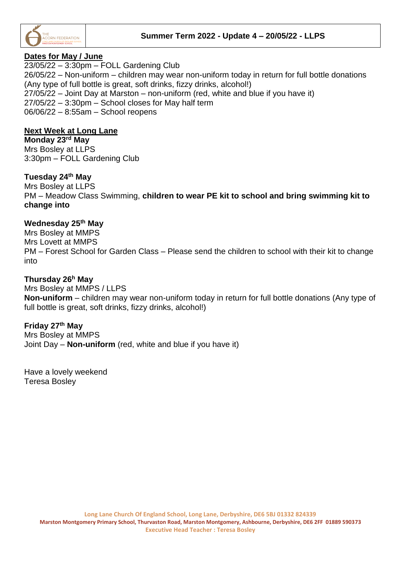

# **Dates for May / June**

23/05/22 – 3:30pm – FOLL Gardening Club 26/05/22 – Non-uniform – children may wear non-uniform today in return for full bottle donations (Any type of full bottle is great, soft drinks, fizzy drinks, alcohol!) 27/05/22 – Joint Day at Marston – non-uniform (red, white and blue if you have it) 27/05/22 – 3:30pm – School closes for May half term 06/06/22 – 8:55am – School reopens

# **Next Week at Long Lane**

**Monday 23rd May** Mrs Bosley at LLPS 3:30pm – FOLL Gardening Club

# **Tuesday 24th May**

Mrs Bosley at LLPS PM – Meadow Class Swimming, **children to wear PE kit to school and bring swimming kit to change into**

# **Wednesday 25th May**

Mrs Bosley at MMPS Mrs Lovett at MMPS PM – Forest School for Garden Class – Please send the children to school with their kit to change into

## **Thursday 26<sup>h</sup> May**

Mrs Bosley at MMPS / LLPS **Non-uniform** – children may wear non-uniform today in return for full bottle donations (Any type of full bottle is great, soft drinks, fizzy drinks, alcohol!)

# **Friday 27 th May**

Mrs Bosley at MMPS Joint Day – **Non-uniform** (red, white and blue if you have it)

Have a lovely weekend Teresa Bosley